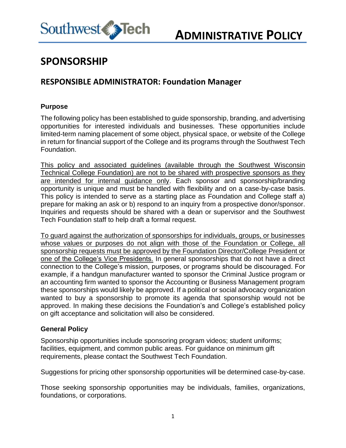

## **SPONSORSHIP**

### **RESPONSIBLE ADMINISTRATOR: Foundation Manager**

#### **Purpose**

The following policy has been established to guide sponsorship, branding, and advertising opportunities for interested individuals and businesses. These opportunities include limited-term naming placement of some object, physical space, or website of the College in return for financial support of the College and its programs through the Southwest Tech Foundation.

This policy and associated guidelines (available through the Southwest Wisconsin Technical College Foundation) are not to be shared with prospective sponsors as they are intended for internal guidance only. Each sponsor and sponsorship/branding opportunity is unique and must be handled with flexibility and on a case-by-case basis. This policy is intended to serve as a starting place as Foundation and College staff a) prepare for making an ask or b) respond to an inquiry from a prospective donor/sponsor. Inquiries and requests should be shared with a dean or supervisor and the Southwest Tech Foundation staff to help draft a formal request.

To guard against the authorization of sponsorships for individuals, groups, or businesses whose values or purposes do not align with those of the Foundation or College, all sponsorship requests must be approved by the Foundation Director/College President or one of the College's Vice Presidents. In general sponsorships that do not have a direct connection to the College's mission, purposes, or programs should be discouraged. For example, if a handgun manufacturer wanted to sponsor the Criminal Justice program or an accounting firm wanted to sponsor the Accounting or Business Management program these sponsorships would likely be approved. If a political or social advocacy organization wanted to buy a sponsorship to promote its agenda that sponsorship would not be approved. In making these decisions the Foundation's and College's established policy on gift acceptance and solicitation will also be considered.

#### **General Policy**

Sponsorship opportunities include sponsoring program videos; student uniforms; facilities, equipment, and common public areas. For guidance on minimum gift requirements, please contact the Southwest Tech Foundation.

Suggestions for pricing other sponsorship opportunities will be determined case-by-case.

Those seeking sponsorship opportunities may be individuals, families, organizations, foundations, or corporations.